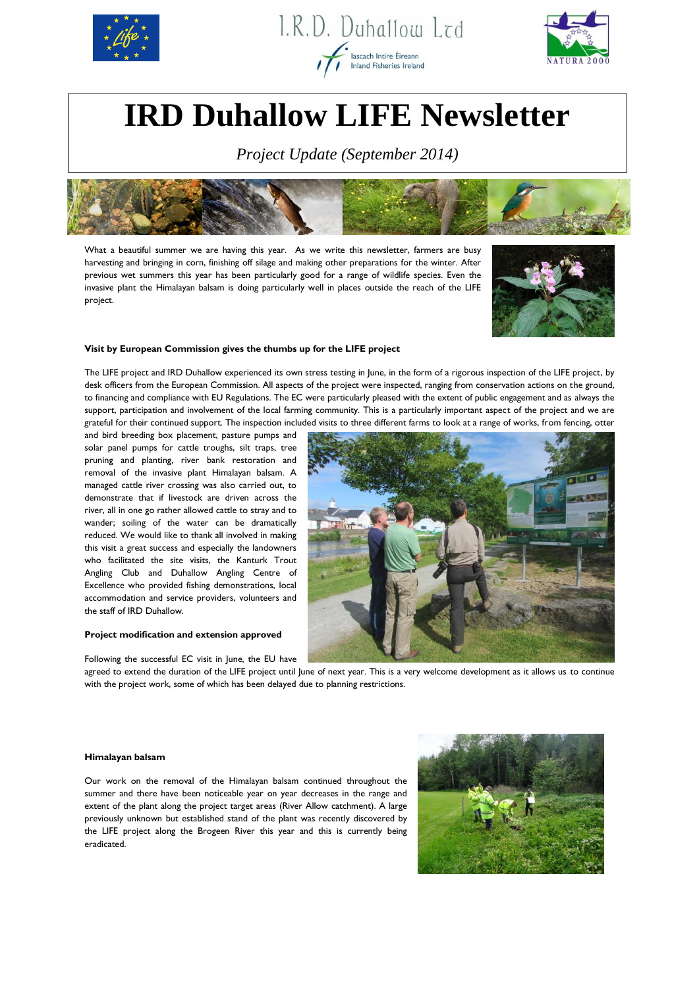





# **IRD Duhallow LIFE Newsletter**

*Project Update (September 2014)*



What a beautiful summer we are having this year. As we write this newsletter, farmers are busy harvesting and bringing in corn, finishing off silage and making other preparations for the winter. After previous wet summers this year has been particularly good for a range of wildlife species. Even the invasive plant the Himalayan balsam is doing particularly well in places outside the reach of the LIFE project.



#### **Visit by European Commission gives the thumbs up for the LIFE project**

The LIFE project and IRD Duhallow experienced its own stress testing in June, in the form of a rigorous inspection of the LIFE project, by desk officers from the European Commission. All aspects of the project were inspected, ranging from conservation actions on the ground, to financing and compliance with EU Regulations. The EC were particularly pleased with the extent of public engagement and as always the support, participation and involvement of the local farming community. This is a particularly important aspect of the project and we are grateful for their continued support. The inspection included visits to three different farms to look at a range of works, from fencing, otter

and bird breeding box placement, pasture pumps and solar panel pumps for cattle troughs, silt traps, tree pruning and planting, river bank restoration and removal of the invasive plant Himalayan balsam. A managed cattle river crossing was also carried out, to demonstrate that if livestock are driven across the river, all in one go rather allowed cattle to stray and to wander; soiling of the water can be dramatically reduced. We would like to thank all involved in making this visit a great success and especially the landowners who facilitated the site visits, the Kanturk Trout Angling Club and Duhallow Angling Centre of Excellence who provided fishing demonstrations, local accommodation and service providers, volunteers and the staff of IRD Duhallow.

## **Project modification and extension approved**

Following the successful EC visit in June, the EU have



agreed to extend the duration of the LIFE project until June of next year. This is a very welcome development as it allows us to continue with the project work, some of which has been delayed due to planning restrictions.

#### **Himalayan balsam**

Our work on the removal of the Himalayan balsam continued throughout the summer and there have been noticeable year on year decreases in the range and extent of the plant along the project target areas (River Allow catchment). A large previously unknown but established stand of the plant was recently discovered by the LIFE project along the Brogeen River this year and this is currently being eradicated.